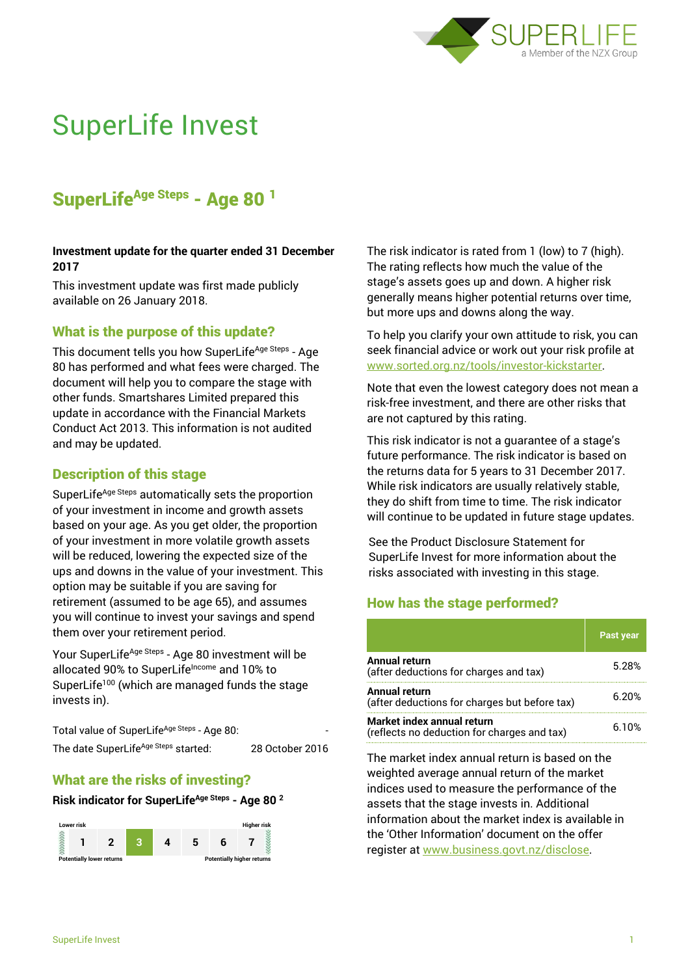

# SuperLife Invest

# SuperLife<sup>Age Steps</sup> - Age 80<sup>1</sup>

#### **Investment update for the quarter ended 31 December 2017**

This investment update was first made publicly available on 26 January 2018.

# What is the purpose of this update?

This document tells you how SuperLife<sup>Age Steps</sup> - Age 80 has performed and what fees were charged. The document will help you to compare the stage with other funds. Smartshares Limited prepared this update in accordance with the Financial Markets Conduct Act 2013. This information is not audited and may be updated.

# Description of this stage

SuperLife<sup>Age Steps</sup> automatically sets the proportion of your investment in income and growth assets based on your age. As you get older, the proportion of your investment in more volatile growth assets will be reduced, lowering the expected size of the ups and downs in the value of your investment. This option may be suitable if you are saving for retirement (assumed to be age 65), and assumes you will continue to invest your savings and spend them over your retirement period.

Your SuperLife<sup>Age Steps</sup> - Age 80 investment will be allocated 90% to SuperLifeIncome and 10% to SuperLife<sup>100</sup> (which are managed funds the stage invests in).

Total value of SuperLife<sup>Age Steps</sup> - Age 80: The date SuperLife<sup>Age Steps</sup> started: 28 October 2016

# What are the risks of investing?

#### **Risk indicator for SuperLifeAge Steps - Age 80 <sup>2</sup>**



The risk indicator is rated from 1 (low) to 7 (high). The rating reflects how much the value of the stage's assets goes up and down. A higher risk generally means higher potential returns over time, but more ups and downs along the way.

To help you clarify your own attitude to risk, you can seek financial advice or work out your risk profile at [www.sorted.org.nz/tools/investor-kickstarter.](http://www.sorted.org.nz/tools/investor-kickstarter)

Note that even the lowest category does not mean a risk-free investment, and there are other risks that are not captured by this rating.

This risk indicator is not a guarantee of a stage's future performance. The risk indicator is based on the returns data for 5 years to 31 December 2017. While risk indicators are usually relatively stable, they do shift from time to time. The risk indicator will continue to be updated in future stage updates.

See the Product Disclosure Statement for SuperLife Invest for more information about the risks associated with investing in this stage.

# How has the stage performed?

|                                                                           | <b>Past year</b> |
|---------------------------------------------------------------------------|------------------|
| <b>Annual return</b><br>(after deductions for charges and tax)            | 5.28%            |
| Annual return<br>(after deductions for charges but before tax)            | 6 2በ%            |
| Market index annual return<br>(reflects no deduction for charges and tax) | 6.10%            |

The market index annual return is based on the weighted average annual return of the market indices used to measure the performance of the assets that the stage invests in. Additional information about the market index is available in the 'Other Information' document on the offer register at www.business.govt.nz/disclose.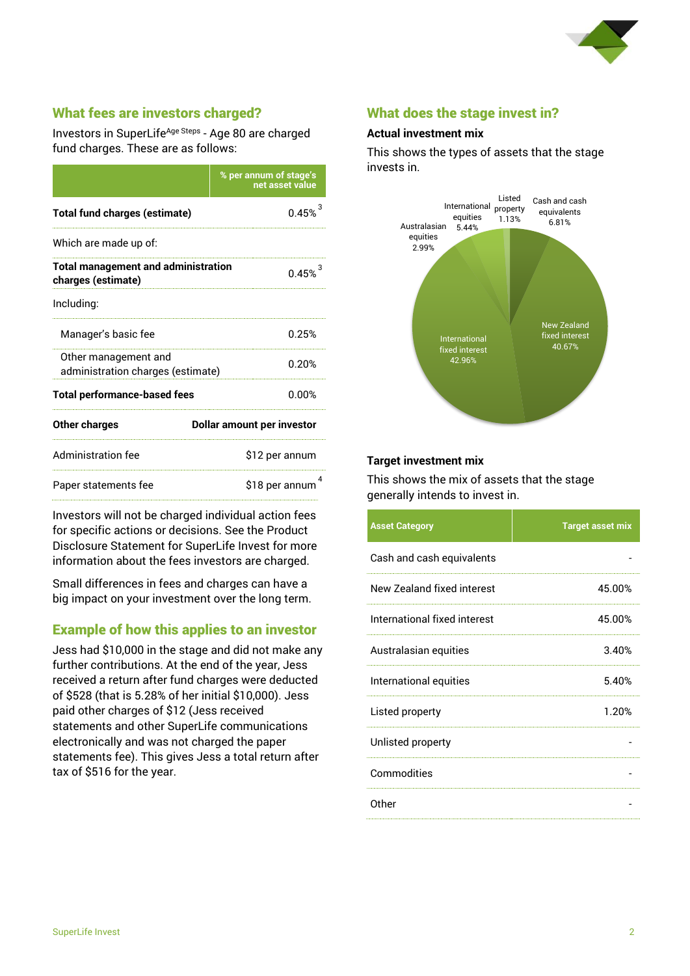

# What fees are investors charged?

Investors in SuperLife<sup>Age Steps</sup> - Age 80 are charged fund charges. These are as follows:

|                                                                  | % per annum of stage's<br>net asset value |  |  |
|------------------------------------------------------------------|-------------------------------------------|--|--|
| <b>Total fund charges (estimate)</b>                             | 0.45%                                     |  |  |
| Which are made up of:                                            |                                           |  |  |
| <b>Total management and administration</b><br>charges (estimate) | $0.45%^{3}$                               |  |  |
| Including:                                                       |                                           |  |  |
| Manager's basic fee                                              | 0.25%                                     |  |  |
| Other management and<br>administration charges (estimate)        | 0.20%                                     |  |  |
| <b>Total performance-based fees</b>                              | 0.00%                                     |  |  |
| <b>Other charges</b>                                             | <b>Dollar amount per investor</b>         |  |  |
| <b>Administration fee</b>                                        | \$12 per annum                            |  |  |
| Paper statements fee                                             | \$18 per annum                            |  |  |

Investors will not be charged individual action fees for specific actions or decisions. See the Product Disclosure Statement for SuperLife Invest for more information about the fees investors are charged.

Small differences in fees and charges can have a big impact on your investment over the long term.

# Example of how this applies to an investor

Jess had \$10,000 in the stage and did not make any further contributions. At the end of the year, Jess received a return after fund charges were deducted of \$528 (that is 5.28% of her initial \$10,000). Jess paid other charges of \$12 (Jess received statements and other SuperLife communications electronically and was not charged the paper statements fee). This gives Jess a total return after tax of \$516 for the year.

# What does the stage invest in?

#### **Actual investment mix**

This shows the types of assets that the stage invests in.



#### **Target investment mix**

This shows the mix of assets that the stage generally intends to invest in.

| <b>Asset Category</b>        | <b>Target asset mix</b> |
|------------------------------|-------------------------|
| Cash and cash equivalents    |                         |
| New Zealand fixed interest   | 45.00%                  |
| International fixed interest | 45.00%                  |
| Australasian equities        | 3.40%                   |
| International equities       | 5.40%                   |
| Listed property              | 1.20%                   |
| Unlisted property            |                         |
| Commodities                  |                         |
| Other                        |                         |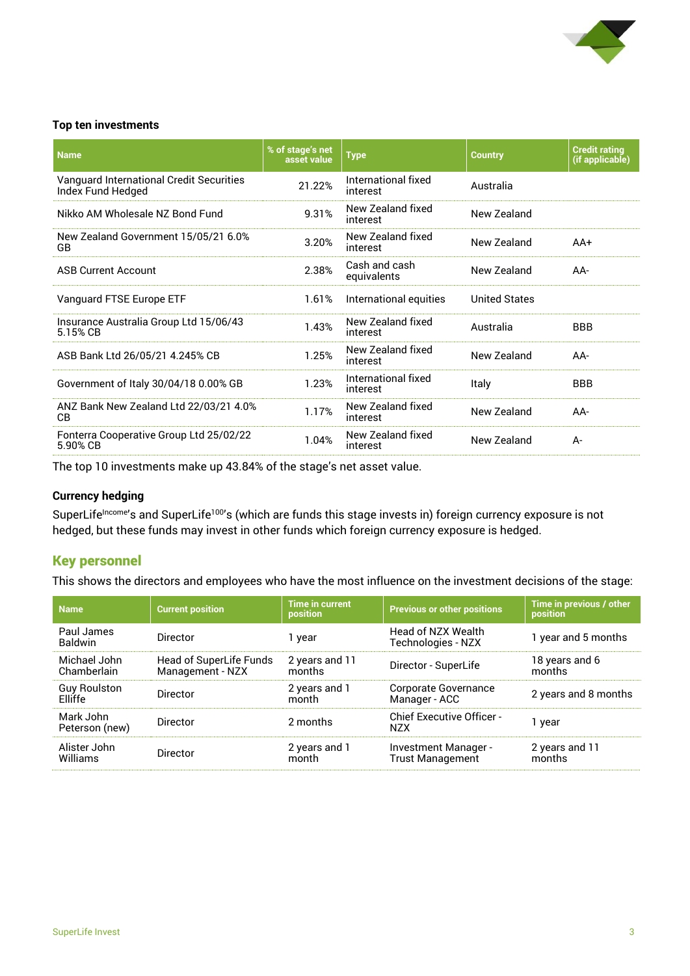

#### **Top ten investments**

| <b>Name</b>                                                   | % of stage's net<br>asset value | <b>Type</b>                     | <b>Country</b>       | <b>Credit rating</b><br>(if applicable) |
|---------------------------------------------------------------|---------------------------------|---------------------------------|----------------------|-----------------------------------------|
| Vanguard International Credit Securities<br>Index Fund Hedged | 21.22%                          | International fixed<br>interest | Australia            |                                         |
| Nikko AM Wholesale NZ Bond Fund                               | 9.31%                           | New Zealand fixed<br>interest   | New Zealand          |                                         |
| New Zealand Government 15/05/21 6.0%<br>GB                    | 3.20%                           | New Zealand fixed<br>interest   | New Zealand          | $AA+$                                   |
| <b>ASB Current Account</b>                                    | 2.38%                           | Cash and cash<br>equivalents    | New Zealand          | AA-                                     |
| Vanguard FTSE Europe ETF                                      | 1.61%                           | International equities          | <b>United States</b> |                                         |
| Insurance Australia Group Ltd 15/06/43<br>5.15% CB            | 1.43%                           | New Zealand fixed<br>interest   | Australia            | <b>BBB</b>                              |
| ASB Bank Ltd 26/05/21 4.245% CB                               | 1.25%                           | New Zealand fixed<br>interest   | New Zealand          | $AA-$                                   |
| Government of Italy 30/04/18 0.00% GB                         | 1.23%                           | International fixed<br>interest | Italy                | <b>BBB</b>                              |
| ANZ Bank New Zealand Ltd 22/03/21 4.0%<br>CВ                  | 1.17%                           | New Zealand fixed<br>interest   | New Zealand          | AA-                                     |
| Fonterra Cooperative Group Ltd 25/02/22<br>5.90% CB           | 1.04%                           | New Zealand fixed<br>interest   | New Zealand          | $A -$                                   |

The top 10 investments make up 43.84% of the stage's net asset value.

#### **Currency hedging**

SuperLife<sup>Income</sup>'s and SuperLife<sup>100</sup>'s (which are funds this stage invests in) foreign currency exposure is not hedged, but these funds may invest in other funds which foreign currency exposure is hedged.

# Key personnel

This shows the directors and employees who have the most influence on the investment decisions of the stage:

| <b>Name</b>                           | <b>Current position</b>                     | <b>Time in current</b><br>position | <b>Previous or other positions</b>              | Time in previous / other<br><b>position</b> |
|---------------------------------------|---------------------------------------------|------------------------------------|-------------------------------------------------|---------------------------------------------|
| Paul James<br><b>Baldwin</b>          | Director                                    | 1 year                             | Head of NZX Wealth<br>Technologies - NZX        | 1 year and 5 months                         |
| Michael John<br>Chamberlain           | Head of SuperLife Funds<br>Management - NZX | 2 years and 11<br>months           | Director - SuperLife                            | 18 years and 6<br>months                    |
| <b>Guy Roulston</b><br><b>Flliffe</b> | Director                                    | 2 years and 1<br>month             | Corporate Governance<br>Manager - ACC           | 2 years and 8 months                        |
| Mark John<br>Peterson (new)           | <b>Director</b>                             | 2 months                           | <b>Chief Executive Officer -</b><br>N7X         | 1 year                                      |
| Alister John<br>Williams              | Director                                    | 2 years and 1<br>month             | Investment Manager -<br><b>Trust Management</b> | 2 years and 11<br>months                    |